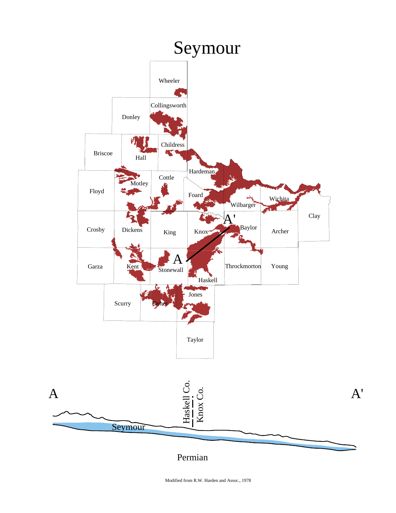

Modified from R.W. Harden and Assoc., 1978